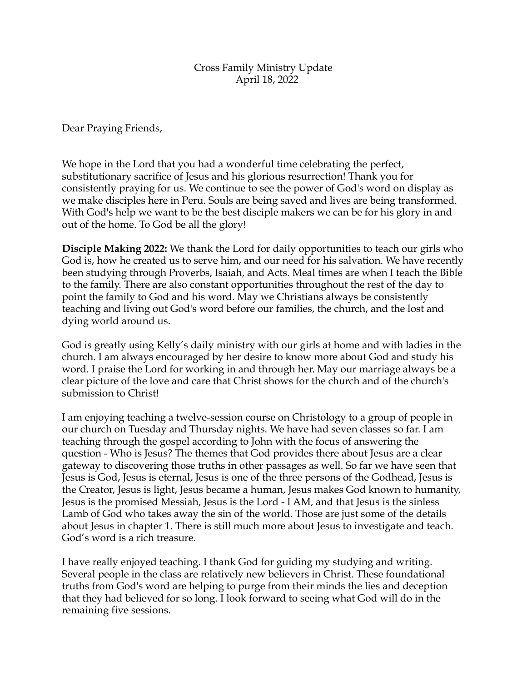## Cross Family Ministry Update April 18, 2022

Dear Praying Friends,

We hope in the Lord that you had a wonderful time celebrating the perfect, substitutionary sacrifice of Jesus and his glorious resurrection! Thank you for consistently praying for us. We continue to see the power of God's word on display as we make disciples here in Peru. Souls are being saved and lives are being transformed. With God's help we want to be the best disciple makers we can be for his glory in and out of the home. To God be all the glory!

**Disciple Making 2022:** We thank the Lord for daily opportunities to teach our girls who God is, how he created us to serve him, and our need for his salvation. We have recently been studying through Proverbs, Isaiah, and Acts. Meal times are when I teach the Bible to the family. There are also constant opportunities throughout the rest of the day to point the family to God and his word. May we Christians always be consistently teaching and living out God's word before our families, the church, and the lost and dying world around us.

God is greatly using Kelly's daily ministry with our girls at home and with ladies in the church. I am always encouraged by her desire to know more about God and study his word. I praise the Lord for working in and through her. May our marriage always be a clear picture of the love and care that Christ shows for the church and of the church's submission to Christ!

I am enjoying teaching a twelve-session course on Christology to a group of people in our church on Tuesday and Thursday nights. We have had seven classes so far. I am teaching through the gospel according to John with the focus of answering the question - Who is Jesus? The themes that God provides there about Jesus are a clear gateway to discovering those truths in other passages as well. So far we have seen that Jesus is God, Jesus is eternal, Jesus is one of the three persons of the Godhead, Jesus is the Creator, Jesus is light, Jesus became a human, Jesus makes God known to humanity, Jesus is the promised Messiah, Jesus is the Lord - I AM, and that Jesus is the sinless Lamb of God who takes away the sin of the world. Those are just some of the details about Jesus in chapter 1. There is still much more about Jesus to investigate and teach. God's word is a rich treasure.

I have really enjoyed teaching. I thank God for guiding my studying and writing. Several people in the class are relatively new believers in Christ. These foundational truths from God's word are helping to purge from their minds the lies and deception that they had believed for so long. I look forward to seeing what God will do in the remaining five sessions.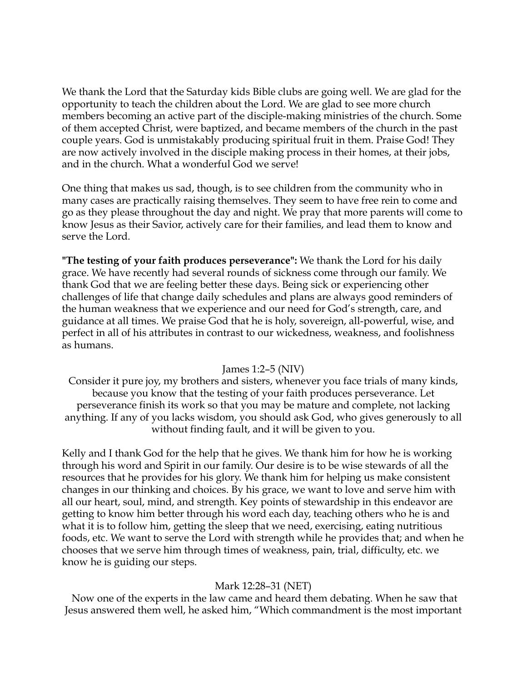We thank the Lord that the Saturday kids Bible clubs are going well. We are glad for the opportunity to teach the children about the Lord. We are glad to see more church members becoming an active part of the disciple-making ministries of the church. Some of them accepted Christ, were baptized, and became members of the church in the past couple years. God is unmistakably producing spiritual fruit in them. Praise God! They are now actively involved in the disciple making process in their homes, at their jobs, and in the church. What a wonderful God we serve!

One thing that makes us sad, though, is to see children from the community who in many cases are practically raising themselves. They seem to have free rein to come and go as they please throughout the day and night. We pray that more parents will come to know Jesus as their Savior, actively care for their families, and lead them to know and serve the Lord.

**"The testing of your faith produces perseverance":** We thank the Lord for his daily grace. We have recently had several rounds of sickness come through our family. We thank God that we are feeling better these days. Being sick or experiencing other challenges of life that change daily schedules and plans are always good reminders of the human weakness that we experience and our need for God's strength, care, and guidance at all times. We praise God that he is holy, sovereign, all-powerful, wise, and perfect in all of his attributes in contrast to our wickedness, weakness, and foolishness as humans.

## James 1:2–5 (NIV)

Consider it pure joy, my brothers and sisters, whenever you face trials of many kinds, because you know that the testing of your faith produces perseverance. Let perseverance finish its work so that you may be mature and complete, not lacking anything. If any of you lacks wisdom, you should ask God, who gives generously to all without finding fault, and it will be given to you.

Kelly and I thank God for the help that he gives. We thank him for how he is working through his word and Spirit in our family. Our desire is to be wise stewards of all the resources that he provides for his glory. We thank him for helping us make consistent changes in our thinking and choices. By his grace, we want to love and serve him with all our heart, soul, mind, and strength. Key points of stewardship in this endeavor are getting to know him better through his word each day, teaching others who he is and what it is to follow him, getting the sleep that we need, exercising, eating nutritious foods, etc. We want to serve the Lord with strength while he provides that; and when he chooses that we serve him through times of weakness, pain, trial, difficulty, etc. we know he is guiding our steps.

## Mark 12:28–31 (NET)

 Now one of the experts in the law came and heard them debating. When he saw that Jesus answered them well, he asked him, "Which commandment is the most important